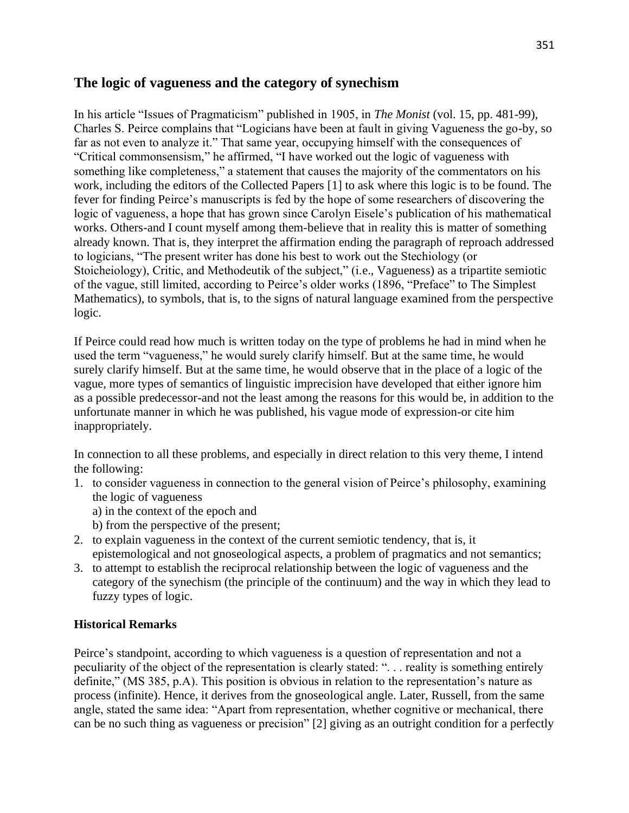# **The logic of vagueness and the category of synechism**

In his article "Issues of Pragmaticism" published in 1905, in *The Monist* (vol. 15, pp. 481-99), Charles S. Peirce complains that "Logicians have been at fault in giving Vagueness the go-by, so far as not even to analyze it." That same year, occupying himself with the consequences of "Critical commonsensism," he affirmed, "I have worked out the logic of vagueness with something like completeness," a statement that causes the majority of the commentators on his work, including the editors of the Collected Papers [1] to ask where this logic is to be found. The fever for finding Peirce's manuscripts is fed by the hope of some researchers of discovering the logic of vagueness, a hope that has grown since Carolyn Eisele's publication of his mathematical works. Others-and I count myself among them-believe that in reality this is matter of something already known. That is, they interpret the affirmation ending the paragraph of reproach addressed to logicians, "The present writer has done his best to work out the Stechiology (or Stoicheiology), Critic, and Methodeutik of the subject," (i.e., Vagueness) as a tripartite semiotic of the vague, still limited, according to Peirce's older works (1896, "Preface" to The Simplest Mathematics), to symbols, that is, to the signs of natural language examined from the perspective logic.

If Peirce could read how much is written today on the type of problems he had in mind when he used the term "vagueness," he would surely clarify himself. But at the same time, he would surely clarify himself. But at the same time, he would observe that in the place of a logic of the vague, more types of semantics of linguistic imprecision have developed that either ignore him as a possible predecessor-and not the least among the reasons for this would be, in addition to the unfortunate manner in which he was published, his vague mode of expression-or cite him inappropriately.

In connection to all these problems, and especially in direct relation to this very theme, I intend the following:

- 1. to consider vagueness in connection to the general vision of Peirce's philosophy, examining the logic of vagueness
	- a) in the context of the epoch and
	- b) from the perspective of the present;
- 2. to explain vagueness in the context of the current semiotic tendency, that is, it epistemological and not gnoseological aspects, a problem of pragmatics and not semantics;
- 3. to attempt to establish the reciprocal relationship between the logic of vagueness and the category of the synechism (the principle of the continuum) and the way in which they lead to fuzzy types of logic.

## **Historical Remarks**

Peirce's standpoint, according to which vagueness is a question of representation and not a peculiarity of the object of the representation is clearly stated: ". . . reality is something entirely definite," (MS 385, p.A). This position is obvious in relation to the representation's nature as process (infinite). Hence, it derives from the gnoseological angle. Later, Russell, from the same angle, stated the same idea: "Apart from representation, whether cognitive or mechanical, there can be no such thing as vagueness or precision" [2] giving as an outright condition for a perfectly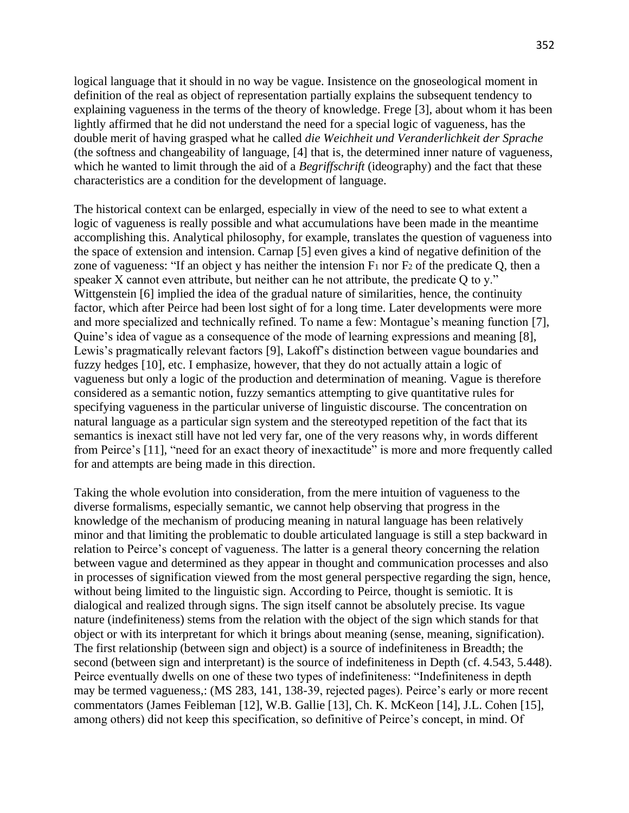logical language that it should in no way be vague. Insistence on the gnoseological moment in definition of the real as object of representation partially explains the subsequent tendency to explaining vagueness in the terms of the theory of knowledge. Frege [3], about whom it has been lightly affirmed that he did not understand the need for a special logic of vagueness, has the double merit of having grasped what he called *die Weichheit und Veranderlichkeit der Sprache* (the softness and changeability of language, [4] that is, the determined inner nature of vagueness, which he wanted to limit through the aid of a *Begriffschrift* (ideography) and the fact that these characteristics are a condition for the development of language.

The historical context can be enlarged, especially in view of the need to see to what extent a logic of vagueness is really possible and what accumulations have been made in the meantime accomplishing this. Analytical philosophy, for example, translates the question of vagueness into the space of extension and intension. Carnap [5] even gives a kind of negative definition of the zone of vagueness: "If an object y has neither the intension  $F_1$  nor  $F_2$  of the predicate Q, then a speaker X cannot even attribute, but neither can he not attribute, the predicate Q to y." Wittgenstein [6] implied the idea of the gradual nature of similarities, hence, the continuity factor, which after Peirce had been lost sight of for a long time. Later developments were more and more specialized and technically refined. To name a few: Montague's meaning function [7], Quine's idea of vague as a consequence of the mode of learning expressions and meaning [8], Lewis's pragmatically relevant factors [9], Lakoff's distinction between vague boundaries and fuzzy hedges [10], etc. I emphasize, however, that they do not actually attain a logic of vagueness but only a logic of the production and determination of meaning. Vague is therefore considered as a semantic notion, fuzzy semantics attempting to give quantitative rules for specifying vagueness in the particular universe of linguistic discourse. The concentration on natural language as a particular sign system and the stereotyped repetition of the fact that its semantics is inexact still have not led very far, one of the very reasons why, in words different from Peirce's [11], "need for an exact theory of inexactitude" is more and more frequently called for and attempts are being made in this direction.

Taking the whole evolution into consideration, from the mere intuition of vagueness to the diverse formalisms, especially semantic, we cannot help observing that progress in the knowledge of the mechanism of producing meaning in natural language has been relatively minor and that limiting the problematic to double articulated language is still a step backward in relation to Peirce's concept of vagueness. The latter is a general theory concerning the relation between vague and determined as they appear in thought and communication processes and also in processes of signification viewed from the most general perspective regarding the sign, hence, without being limited to the linguistic sign. According to Peirce, thought is semiotic. It is dialogical and realized through signs. The sign itself cannot be absolutely precise. Its vague nature (indefiniteness) stems from the relation with the object of the sign which stands for that object or with its interpretant for which it brings about meaning (sense, meaning, signification). The first relationship (between sign and object) is a source of indefiniteness in Breadth; the second (between sign and interpretant) is the source of indefiniteness in Depth (cf. 4.543, 5.448). Peirce eventually dwells on one of these two types of indefiniteness: "Indefiniteness in depth may be termed vagueness,: (MS 283, 141, 138-39, rejected pages). Peirce's early or more recent commentators (James Feibleman [12], W.B. Gallie [13], Ch. K. McKeon [14], J.L. Cohen [15], among others) did not keep this specification, so definitive of Peirce's concept, in mind. Of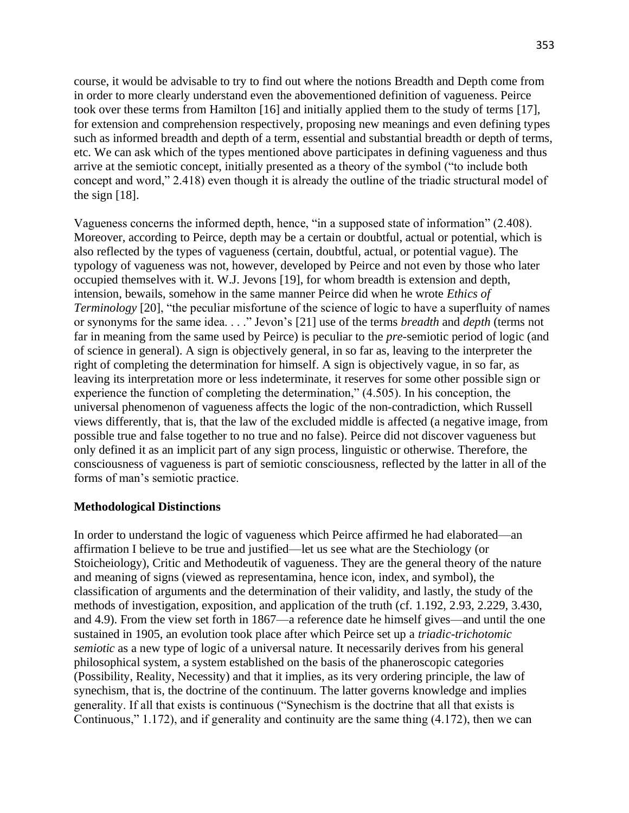course, it would be advisable to try to find out where the notions Breadth and Depth come from in order to more clearly understand even the abovementioned definition of vagueness. Peirce took over these terms from Hamilton [16] and initially applied them to the study of terms [17], for extension and comprehension respectively, proposing new meanings and even defining types such as informed breadth and depth of a term, essential and substantial breadth or depth of terms, etc. We can ask which of the types mentioned above participates in defining vagueness and thus arrive at the semiotic concept, initially presented as a theory of the symbol ("to include both concept and word," 2.418) even though it is already the outline of the triadic structural model of the sign [18].

Vagueness concerns the informed depth, hence, "in a supposed state of information" (2.408). Moreover, according to Peirce, depth may be a certain or doubtful, actual or potential, which is also reflected by the types of vagueness (certain, doubtful, actual, or potential vague). The typology of vagueness was not, however, developed by Peirce and not even by those who later occupied themselves with it. W.J. Jevons [19], for whom breadth is extension and depth, intension, bewails, somehow in the same manner Peirce did when he wrote *Ethics of Terminology* [20], "the peculiar misfortune of the science of logic to have a superfluity of names or synonyms for the same idea. . . ." Jevon's [21] use of the terms *breadth* and *depth* (terms not far in meaning from the same used by Peirce) is peculiar to the *pre*-semiotic period of logic (and of science in general). A sign is objectively general, in so far as, leaving to the interpreter the right of completing the determination for himself. A sign is objectively vague, in so far, as leaving its interpretation more or less indeterminate, it reserves for some other possible sign or experience the function of completing the determination," (4.505). In his conception, the universal phenomenon of vagueness affects the logic of the non-contradiction, which Russell views differently, that is, that the law of the excluded middle is affected (a negative image, from possible true and false together to no true and no false). Peirce did not discover vagueness but only defined it as an implicit part of any sign process, linguistic or otherwise. Therefore, the consciousness of vagueness is part of semiotic consciousness, reflected by the latter in all of the forms of man's semiotic practice.

### **Methodological Distinctions**

In order to understand the logic of vagueness which Peirce affirmed he had elaborated—an affirmation I believe to be true and justified—let us see what are the Stechiology (or Stoicheiology), Critic and Methodeutik of vagueness. They are the general theory of the nature and meaning of signs (viewed as representamina, hence icon, index, and symbol), the classification of arguments and the determination of their validity, and lastly, the study of the methods of investigation, exposition, and application of the truth (cf. 1.192, 2.93, 2.229, 3.430, and 4.9). From the view set forth in 1867—a reference date he himself gives—and until the one sustained in 1905, an evolution took place after which Peirce set up a *triadic-trichotomic semiotic* as a new type of logic of a universal nature. It necessarily derives from his general philosophical system, a system established on the basis of the phaneroscopic categories (Possibility, Reality, Necessity) and that it implies, as its very ordering principle, the law of synechism, that is, the doctrine of the continuum. The latter governs knowledge and implies generality. If all that exists is continuous ("Synechism is the doctrine that all that exists is Continuous,"  $1.172$ ), and if generality and continuity are the same thing  $(4.172)$ , then we can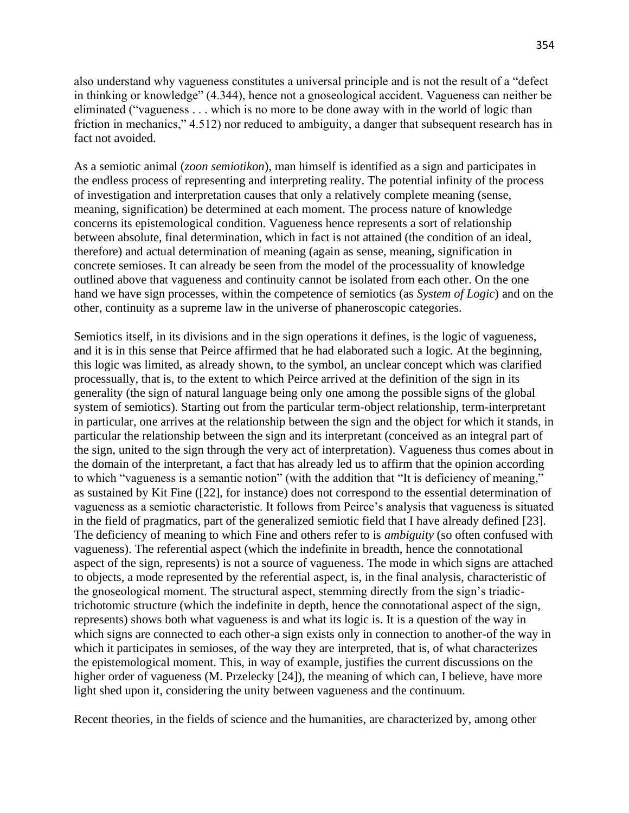also understand why vagueness constitutes a universal principle and is not the result of a "defect in thinking or knowledge" (4.344), hence not a gnoseological accident. Vagueness can neither be eliminated ("vagueness . . . which is no more to be done away with in the world of logic than friction in mechanics," 4.512) nor reduced to ambiguity, a danger that subsequent research has in fact not avoided.

As a semiotic animal (*zoon semiotikon*), man himself is identified as a sign and participates in the endless process of representing and interpreting reality. The potential infinity of the process of investigation and interpretation causes that only a relatively complete meaning (sense, meaning, signification) be determined at each moment. The process nature of knowledge concerns its epistemological condition. Vagueness hence represents a sort of relationship between absolute, final determination, which in fact is not attained (the condition of an ideal, therefore) and actual determination of meaning (again as sense, meaning, signification in concrete semioses. It can already be seen from the model of the processuality of knowledge outlined above that vagueness and continuity cannot be isolated from each other. On the one hand we have sign processes, within the competence of semiotics (as *System of Logic*) and on the other, continuity as a supreme law in the universe of phaneroscopic categories.

Semiotics itself, in its divisions and in the sign operations it defines, is the logic of vagueness, and it is in this sense that Peirce affirmed that he had elaborated such a logic. At the beginning, this logic was limited, as already shown, to the symbol, an unclear concept which was clarified processually, that is, to the extent to which Peirce arrived at the definition of the sign in its generality (the sign of natural language being only one among the possible signs of the global system of semiotics). Starting out from the particular term-object relationship, term-interpretant in particular, one arrives at the relationship between the sign and the object for which it stands, in particular the relationship between the sign and its interpretant (conceived as an integral part of the sign, united to the sign through the very act of interpretation). Vagueness thus comes about in the domain of the interpretant, a fact that has already led us to affirm that the opinion according to which "vagueness is a semantic notion" (with the addition that "It is deficiency of meaning," as sustained by Kit Fine ([22], for instance) does not correspond to the essential determination of vagueness as a semiotic characteristic. It follows from Peirce's analysis that vagueness is situated in the field of pragmatics, part of the generalized semiotic field that I have already defined [23]. The deficiency of meaning to which Fine and others refer to is *ambiguity* (so often confused with vagueness). The referential aspect (which the indefinite in breadth, hence the connotational aspect of the sign, represents) is not a source of vagueness. The mode in which signs are attached to objects, a mode represented by the referential aspect, is, in the final analysis, characteristic of the gnoseological moment. The structural aspect, stemming directly from the sign's triadictrichotomic structure (which the indefinite in depth, hence the connotational aspect of the sign, represents) shows both what vagueness is and what its logic is. It is a question of the way in which signs are connected to each other-a sign exists only in connection to another-of the way in which it participates in semioses, of the way they are interpreted, that is, of what characterizes the epistemological moment. This, in way of example, justifies the current discussions on the higher order of vagueness (M. Przelecky [24]), the meaning of which can, I believe, have more light shed upon it, considering the unity between vagueness and the continuum.

Recent theories, in the fields of science and the humanities, are characterized by, among other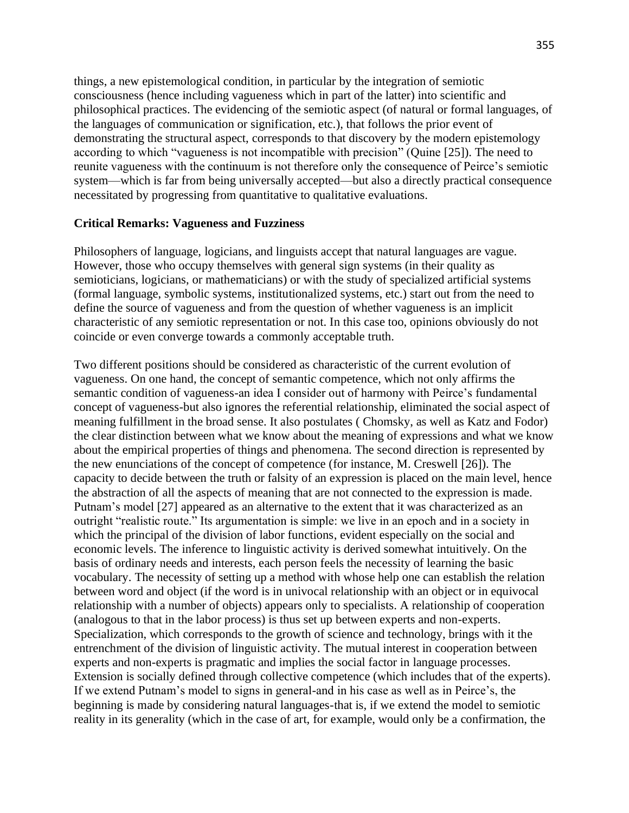things, a new epistemological condition, in particular by the integration of semiotic consciousness (hence including vagueness which in part of the latter) into scientific and philosophical practices. The evidencing of the semiotic aspect (of natural or formal languages, of the languages of communication or signification, etc.), that follows the prior event of demonstrating the structural aspect, corresponds to that discovery by the modern epistemology according to which "vagueness is not incompatible with precision" (Quine [25]). The need to reunite vagueness with the continuum is not therefore only the consequence of Peirce's semiotic system—which is far from being universally accepted—but also a directly practical consequence necessitated by progressing from quantitative to qualitative evaluations.

#### **Critical Remarks: Vagueness and Fuzziness**

Philosophers of language, logicians, and linguists accept that natural languages are vague. However, those who occupy themselves with general sign systems (in their quality as semioticians, logicians, or mathematicians) or with the study of specialized artificial systems (formal language, symbolic systems, institutionalized systems, etc.) start out from the need to define the source of vagueness and from the question of whether vagueness is an implicit characteristic of any semiotic representation or not. In this case too, opinions obviously do not coincide or even converge towards a commonly acceptable truth.

Two different positions should be considered as characteristic of the current evolution of vagueness. On one hand, the concept of semantic competence, which not only affirms the semantic condition of vagueness-an idea I consider out of harmony with Peirce's fundamental concept of vagueness-but also ignores the referential relationship, eliminated the social aspect of meaning fulfillment in the broad sense. It also postulates ( Chomsky, as well as Katz and Fodor) the clear distinction between what we know about the meaning of expressions and what we know about the empirical properties of things and phenomena. The second direction is represented by the new enunciations of the concept of competence (for instance, M. Creswell [26]). The capacity to decide between the truth or falsity of an expression is placed on the main level, hence the abstraction of all the aspects of meaning that are not connected to the expression is made. Putnam's model [27] appeared as an alternative to the extent that it was characterized as an outright "realistic route." Its argumentation is simple: we live in an epoch and in a society in which the principal of the division of labor functions, evident especially on the social and economic levels. The inference to linguistic activity is derived somewhat intuitively. On the basis of ordinary needs and interests, each person feels the necessity of learning the basic vocabulary. The necessity of setting up a method with whose help one can establish the relation between word and object (if the word is in univocal relationship with an object or in equivocal relationship with a number of objects) appears only to specialists. A relationship of cooperation (analogous to that in the labor process) is thus set up between experts and non-experts. Specialization, which corresponds to the growth of science and technology, brings with it the entrenchment of the division of linguistic activity. The mutual interest in cooperation between experts and non-experts is pragmatic and implies the social factor in language processes. Extension is socially defined through collective competence (which includes that of the experts). If we extend Putnam's model to signs in general-and in his case as well as in Peirce's, the beginning is made by considering natural languages-that is, if we extend the model to semiotic reality in its generality (which in the case of art, for example, would only be a confirmation, the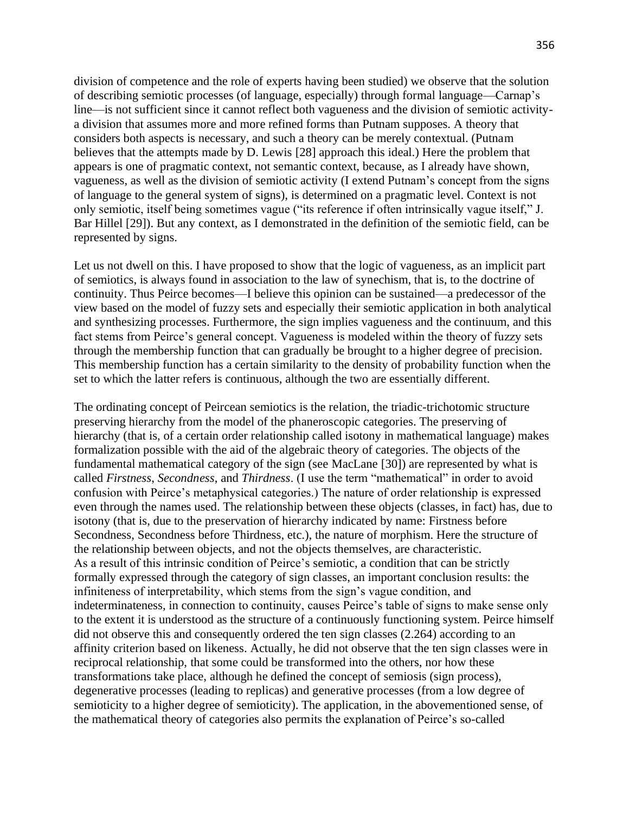division of competence and the role of experts having been studied) we observe that the solution of describing semiotic processes (of language, especially) through formal language—Carnap's line—is not sufficient since it cannot reflect both vagueness and the division of semiotic activitya division that assumes more and more refined forms than Putnam supposes. A theory that considers both aspects is necessary, and such a theory can be merely contextual. (Putnam believes that the attempts made by D. Lewis [28] approach this ideal.) Here the problem that appears is one of pragmatic context, not semantic context, because, as I already have shown, vagueness, as well as the division of semiotic activity (I extend Putnam's concept from the signs of language to the general system of signs), is determined on a pragmatic level. Context is not only semiotic, itself being sometimes vague ("its reference if often intrinsically vague itself," J. Bar Hillel [29]). But any context, as I demonstrated in the definition of the semiotic field, can be represented by signs.

Let us not dwell on this. I have proposed to show that the logic of vagueness, as an implicit part of semiotics, is always found in association to the law of synechism, that is, to the doctrine of continuity. Thus Peirce becomes—I believe this opinion can be sustained—a predecessor of the view based on the model of fuzzy sets and especially their semiotic application in both analytical and synthesizing processes. Furthermore, the sign implies vagueness and the continuum, and this fact stems from Peirce's general concept. Vagueness is modeled within the theory of fuzzy sets through the membership function that can gradually be brought to a higher degree of precision. This membership function has a certain similarity to the density of probability function when the set to which the latter refers is continuous, although the two are essentially different.

The ordinating concept of Peircean semiotics is the relation, the triadic-trichotomic structure preserving hierarchy from the model of the phaneroscopic categories. The preserving of hierarchy (that is, of a certain order relationship called isotony in mathematical language) makes formalization possible with the aid of the algebraic theory of categories. The objects of the fundamental mathematical category of the sign (see MacLane [30]) are represented by what is called *Firstness*, *Secondness*, and *Thirdness*. (I use the term "mathematical" in order to avoid confusion with Peirce's metaphysical categories.) The nature of order relationship is expressed even through the names used. The relationship between these objects (classes, in fact) has, due to isotony (that is, due to the preservation of hierarchy indicated by name: Firstness before Secondness, Secondness before Thirdness, etc.), the nature of morphism. Here the structure of the relationship between objects, and not the objects themselves, are characteristic. As a result of this intrinsic condition of Peirce's semiotic, a condition that can be strictly formally expressed through the category of sign classes, an important conclusion results: the infiniteness of interpretability, which stems from the sign's vague condition, and indeterminateness, in connection to continuity, causes Peirce's table of signs to make sense only to the extent it is understood as the structure of a continuously functioning system. Peirce himself did not observe this and consequently ordered the ten sign classes (2.264) according to an affinity criterion based on likeness. Actually, he did not observe that the ten sign classes were in reciprocal relationship, that some could be transformed into the others, nor how these transformations take place, although he defined the concept of semiosis (sign process), degenerative processes (leading to replicas) and generative processes (from a low degree of semioticity to a higher degree of semioticity). The application, in the abovementioned sense, of the mathematical theory of categories also permits the explanation of Peirce's so-called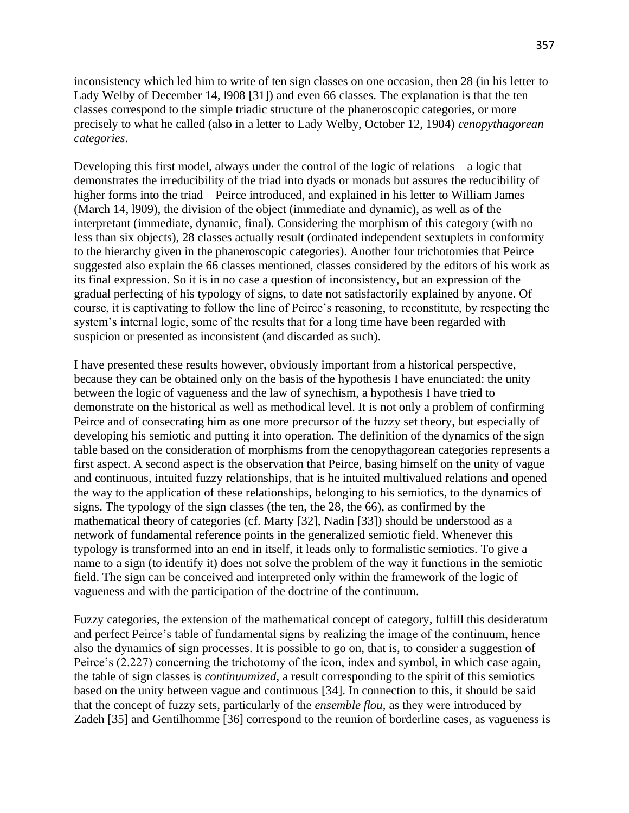inconsistency which led him to write of ten sign classes on one occasion, then 28 (in his letter to Lady Welby of December 14, l908 [31]) and even 66 classes. The explanation is that the ten classes correspond to the simple triadic structure of the phaneroscopic categories, or more precisely to what he called (also in a letter to Lady Welby, October 12, 1904) *cenopythagorean categories*.

Developing this first model, always under the control of the logic of relations—a logic that demonstrates the irreducibility of the triad into dyads or monads but assures the reducibility of higher forms into the triad—Peirce introduced, and explained in his letter to William James (March 14, l909), the division of the object (immediate and dynamic), as well as of the interpretant (immediate, dynamic, final). Considering the morphism of this category (with no less than six objects), 28 classes actually result (ordinated independent sextuplets in conformity to the hierarchy given in the phaneroscopic categories). Another four trichotomies that Peirce suggested also explain the 66 classes mentioned, classes considered by the editors of his work as its final expression. So it is in no case a question of inconsistency, but an expression of the gradual perfecting of his typology of signs, to date not satisfactorily explained by anyone. Of course, it is captivating to follow the line of Peirce's reasoning, to reconstitute, by respecting the system's internal logic, some of the results that for a long time have been regarded with suspicion or presented as inconsistent (and discarded as such).

I have presented these results however, obviously important from a historical perspective, because they can be obtained only on the basis of the hypothesis I have enunciated: the unity between the logic of vagueness and the law of synechism, a hypothesis I have tried to demonstrate on the historical as well as methodical level. It is not only a problem of confirming Peirce and of consecrating him as one more precursor of the fuzzy set theory, but especially of developing his semiotic and putting it into operation. The definition of the dynamics of the sign table based on the consideration of morphisms from the cenopythagorean categories represents a first aspect. A second aspect is the observation that Peirce, basing himself on the unity of vague and continuous, intuited fuzzy relationships, that is he intuited multivalued relations and opened the way to the application of these relationships, belonging to his semiotics, to the dynamics of signs. The typology of the sign classes (the ten, the 28, the 66), as confirmed by the mathematical theory of categories (cf. Marty [32], Nadin [33]) should be understood as a network of fundamental reference points in the generalized semiotic field. Whenever this typology is transformed into an end in itself, it leads only to formalistic semiotics. To give a name to a sign (to identify it) does not solve the problem of the way it functions in the semiotic field. The sign can be conceived and interpreted only within the framework of the logic of vagueness and with the participation of the doctrine of the continuum.

Fuzzy categories, the extension of the mathematical concept of category, fulfill this desideratum and perfect Peirce's table of fundamental signs by realizing the image of the continuum, hence also the dynamics of sign processes. It is possible to go on, that is, to consider a suggestion of Peirce's (2.227) concerning the trichotomy of the icon, index and symbol, in which case again, the table of sign classes is *continuumized*, a result corresponding to the spirit of this semiotics based on the unity between vague and continuous [34]. In connection to this, it should be said that the concept of fuzzy sets, particularly of the *ensemble flou*, as they were introduced by Zadeh [35] and Gentilhomme [36] correspond to the reunion of borderline cases, as vagueness is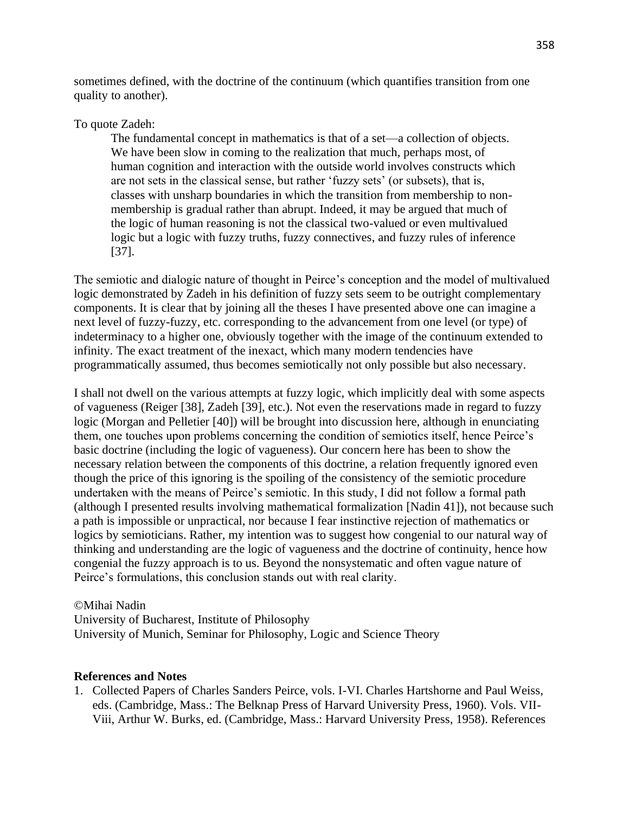sometimes defined, with the doctrine of the continuum (which quantifies transition from one quality to another).

## To quote Zadeh:

The fundamental concept in mathematics is that of a set—a collection of objects. We have been slow in coming to the realization that much, perhaps most, of human cognition and interaction with the outside world involves constructs which are not sets in the classical sense, but rather 'fuzzy sets' (or subsets), that is, classes with unsharp boundaries in which the transition from membership to nonmembership is gradual rather than abrupt. Indeed, it may be argued that much of the logic of human reasoning is not the classical two-valued or even multivalued logic but a logic with fuzzy truths, fuzzy connectives, and fuzzy rules of inference [37].

The semiotic and dialogic nature of thought in Peirce's conception and the model of multivalued logic demonstrated by Zadeh in his definition of fuzzy sets seem to be outright complementary components. It is clear that by joining all the theses I have presented above one can imagine a next level of fuzzy-fuzzy, etc. corresponding to the advancement from one level (or type) of indeterminacy to a higher one, obviously together with the image of the continuum extended to infinity. The exact treatment of the inexact, which many modern tendencies have programmatically assumed, thus becomes semiotically not only possible but also necessary.

I shall not dwell on the various attempts at fuzzy logic, which implicitly deal with some aspects of vagueness (Reiger [38], Zadeh [39], etc.). Not even the reservations made in regard to fuzzy logic (Morgan and Pelletier [40]) will be brought into discussion here, although in enunciating them, one touches upon problems concerning the condition of semiotics itself, hence Peirce's basic doctrine (including the logic of vagueness). Our concern here has been to show the necessary relation between the components of this doctrine, a relation frequently ignored even though the price of this ignoring is the spoiling of the consistency of the semiotic procedure undertaken with the means of Peirce's semiotic. In this study, I did not follow a formal path (although I presented results involving mathematical formalization [Nadin 41]), not because such a path is impossible or unpractical, nor because I fear instinctive rejection of mathematics or logics by semioticians. Rather, my intention was to suggest how congenial to our natural way of thinking and understanding are the logic of vagueness and the doctrine of continuity, hence how congenial the fuzzy approach is to us. Beyond the nonsystematic and often vague nature of Peirce's formulations, this conclusion stands out with real clarity.

### ©Mihai Nadin

University of Bucharest, Institute of Philosophy University of Munich, Seminar for Philosophy, Logic and Science Theory

### **References and Notes**

1. Collected Papers of Charles Sanders Peirce, vols. I-VI. Charles Hartshorne and Paul Weiss, eds. (Cambridge, Mass.: The Belknap Press of Harvard University Press, 1960). Vols. VII-Viii, Arthur W. Burks, ed. (Cambridge, Mass.: Harvard University Press, 1958). References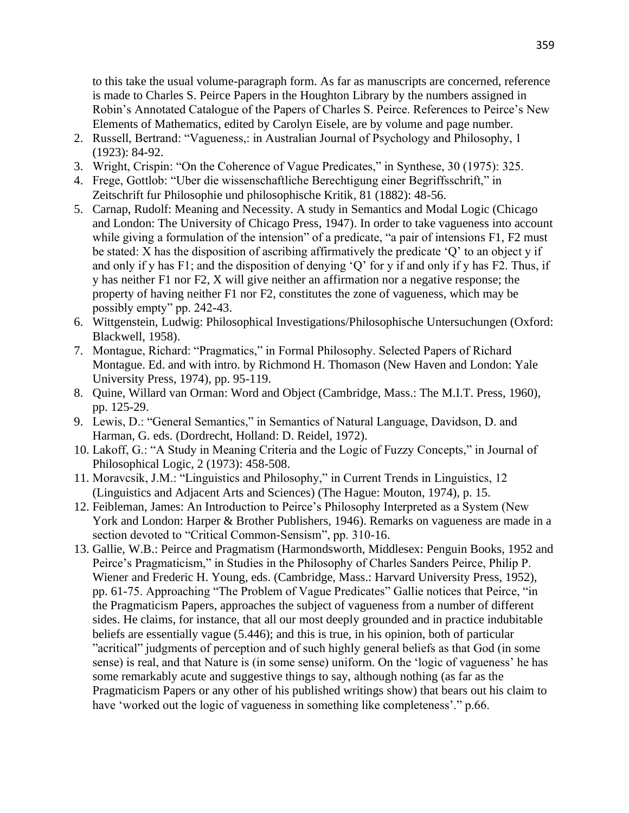to this take the usual volume-paragraph form. As far as manuscripts are concerned, reference is made to Charles S. Peirce Papers in the Houghton Library by the numbers assigned in Robin's Annotated Catalogue of the Papers of Charles S. Peirce. References to Peirce's New Elements of Mathematics, edited by Carolyn Eisele, are by volume and page number.

- 2. Russell, Bertrand: "Vagueness,: in Australian Journal of Psychology and Philosophy, 1 (1923): 84-92.
- 3. Wright, Crispin: "On the Coherence of Vague Predicates," in Synthese, 30 (1975): 325.
- 4. Frege, Gottlob: "Uber die wissenschaftliche Berechtigung einer Begriffsschrift," in Zeitschrift fur Philosophie und philosophische Kritik, 81 (1882): 48-56.
- 5. Carnap, Rudolf: Meaning and Necessity. A study in Semantics and Modal Logic (Chicago and London: The University of Chicago Press, 1947). In order to take vagueness into account while giving a formulation of the intension" of a predicate, "a pair of intensions F1, F2 must be stated: X has the disposition of ascribing affirmatively the predicate 'Q' to an object y if and only if y has F1; and the disposition of denying 'Q' for y if and only if y has F2. Thus, if y has neither F1 nor F2, X will give neither an affirmation nor a negative response; the property of having neither F1 nor F2, constitutes the zone of vagueness, which may be possibly empty" pp. 242-43.
- 6. Wittgenstein, Ludwig: Philosophical Investigations/Philosophische Untersuchungen (Oxford: Blackwell, 1958).
- 7. Montague, Richard: "Pragmatics," in Formal Philosophy. Selected Papers of Richard Montague. Ed. and with intro. by Richmond H. Thomason (New Haven and London: Yale University Press, 1974), pp. 95-119.
- 8. Quine, Willard van Orman: Word and Object (Cambridge, Mass.: The M.I.T. Press, 1960), pp. 125-29.
- 9. Lewis, D.: "General Semantics," in Semantics of Natural Language, Davidson, D. and Harman, G. eds. (Dordrecht, Holland: D. Reidel, 1972).
- 10. Lakoff, G.: "A Study in Meaning Criteria and the Logic of Fuzzy Concepts," in Journal of Philosophical Logic, 2 (1973): 458-508.
- 11. Moravcsik, J.M.: "Linguistics and Philosophy," in Current Trends in Linguistics, 12 (Linguistics and Adjacent Arts and Sciences) (The Hague: Mouton, 1974), p. 15.
- 12. Feibleman, James: An Introduction to Peirce's Philosophy Interpreted as a System (New York and London: Harper & Brother Publishers, 1946). Remarks on vagueness are made in a section devoted to "Critical Common-Sensism", pp. 310-16.
- 13. Gallie, W.B.: Peirce and Pragmatism (Harmondsworth, Middlesex: Penguin Books, 1952 and Peirce's Pragmaticism," in Studies in the Philosophy of Charles Sanders Peirce, Philip P. Wiener and Frederic H. Young, eds. (Cambridge, Mass.: Harvard University Press, 1952), pp. 61-75. Approaching "The Problem of Vague Predicates" Gallie notices that Peirce, "in the Pragmaticism Papers, approaches the subject of vagueness from a number of different sides. He claims, for instance, that all our most deeply grounded and in practice indubitable beliefs are essentially vague (5.446); and this is true, in his opinion, both of particular "acritical" judgments of perception and of such highly general beliefs as that God (in some sense) is real, and that Nature is (in some sense) uniform. On the 'logic of vagueness' he has some remarkably acute and suggestive things to say, although nothing (as far as the Pragmaticism Papers or any other of his published writings show) that bears out his claim to have 'worked out the logic of vagueness in something like completeness'." p.66.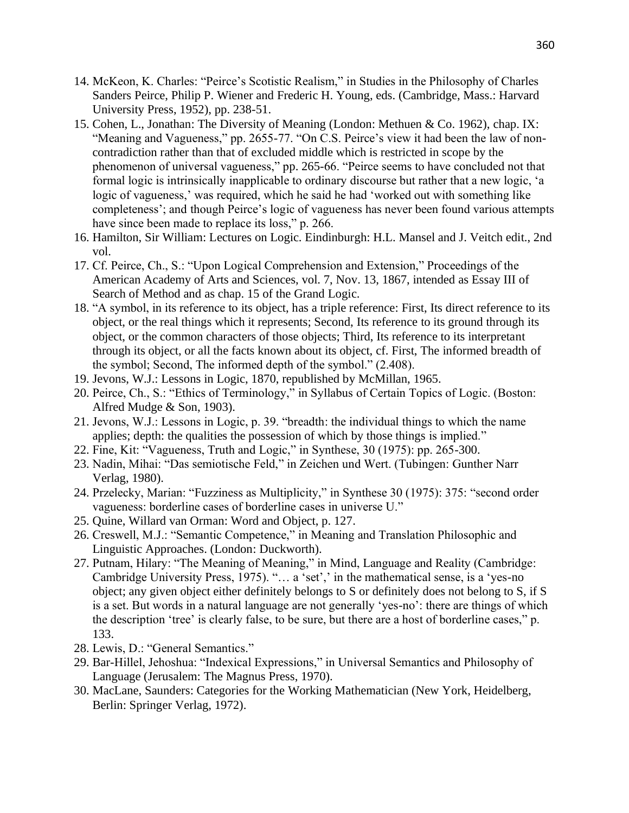- 14. McKeon, K. Charles: "Peirce's Scotistic Realism," in Studies in the Philosophy of Charles Sanders Peirce, Philip P. Wiener and Frederic H. Young, eds. (Cambridge, Mass.: Harvard University Press, 1952), pp. 238-51.
- 15. Cohen, L., Jonathan: The Diversity of Meaning (London: Methuen & Co. 1962), chap. IX: "Meaning and Vagueness," pp. 2655-77. "On C.S. Peirce's view it had been the law of noncontradiction rather than that of excluded middle which is restricted in scope by the phenomenon of universal vagueness," pp. 265-66. "Peirce seems to have concluded not that formal logic is intrinsically inapplicable to ordinary discourse but rather that a new logic, 'a logic of vagueness,' was required, which he said he had 'worked out with something like completeness'; and though Peirce's logic of vagueness has never been found various attempts have since been made to replace its loss," p. 266.
- 16. Hamilton, Sir William: Lectures on Logic. Eindinburgh: H.L. Mansel and J. Veitch edit., 2nd vol.
- 17. Cf. Peirce, Ch., S.: "Upon Logical Comprehension and Extension," Proceedings of the American Academy of Arts and Sciences, vol. 7, Nov. 13, 1867, intended as Essay III of Search of Method and as chap. 15 of the Grand Logic.
- 18. "A symbol, in its reference to its object, has a triple reference: First, Its direct reference to its object, or the real things which it represents; Second, Its reference to its ground through its object, or the common characters of those objects; Third, Its reference to its interpretant through its object, or all the facts known about its object, cf. First, The informed breadth of the symbol; Second, The informed depth of the symbol." (2.408).
- 19. Jevons, W.J.: Lessons in Logic, 1870, republished by McMillan, 1965.
- 20. Peirce, Ch., S.: "Ethics of Terminology," in Syllabus of Certain Topics of Logic. (Boston: Alfred Mudge & Son, 1903).
- 21. Jevons, W.J.: Lessons in Logic, p. 39. "breadth: the individual things to which the name applies; depth: the qualities the possession of which by those things is implied."
- 22. Fine, Kit: "Vagueness, Truth and Logic," in Synthese, 30 (1975): pp. 265-300.
- 23. Nadin, Mihai: "Das semiotische Feld," in Zeichen und Wert. (Tubingen: Gunther Narr Verlag, 1980).
- 24. Przelecky, Marian: "Fuzziness as Multiplicity," in Synthese 30 (1975): 375: "second order vagueness: borderline cases of borderline cases in universe U."
- 25. Quine, Willard van Orman: Word and Object, p. 127.
- 26. Creswell, M.J.: "Semantic Competence," in Meaning and Translation Philosophic and Linguistic Approaches. (London: Duckworth).
- 27. Putnam, Hilary: "The Meaning of Meaning," in Mind, Language and Reality (Cambridge: Cambridge University Press, 1975). "… a 'set',' in the mathematical sense, is a 'yes-no object; any given object either definitely belongs to S or definitely does not belong to S, if S is a set. But words in a natural language are not generally 'yes-no': there are things of which the description 'tree' is clearly false, to be sure, but there are a host of borderline cases," p. 133.
- 28. Lewis, D.: "General Semantics."
- 29. Bar-Hillel, Jehoshua: "Indexical Expressions," in Universal Semantics and Philosophy of Language (Jerusalem: The Magnus Press, 1970).
- 30. MacLane, Saunders: Categories for the Working Mathematician (New York, Heidelberg, Berlin: Springer Verlag, 1972).